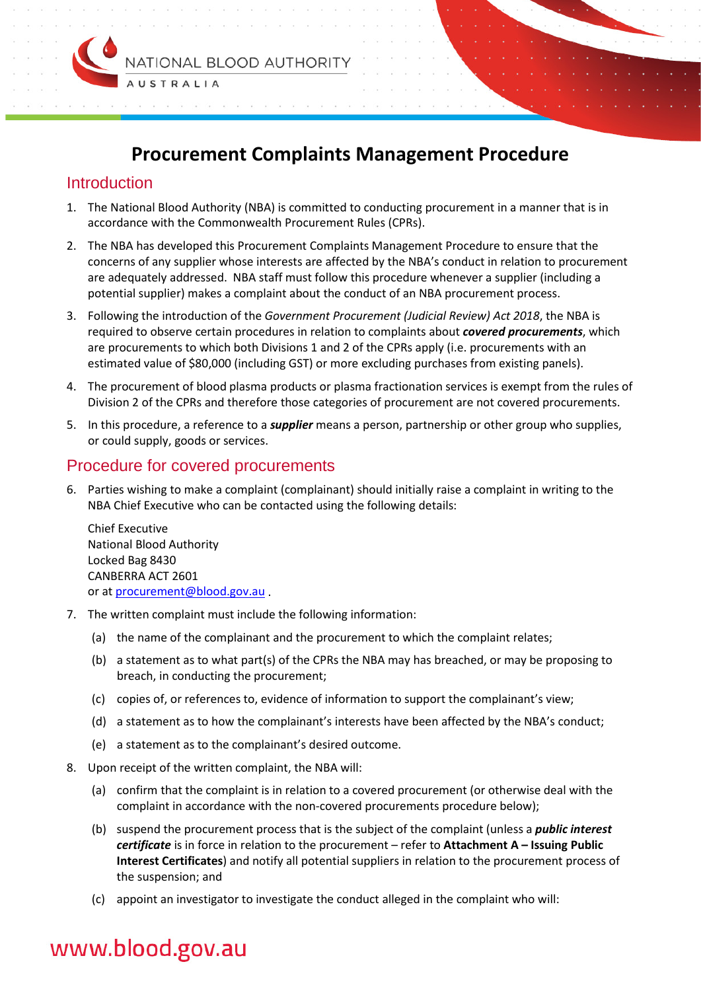

# **Procurement Complaints Management Procedure**

## **Introduction**

- 1. The National Blood Authority (NBA) is committed to conducting procurement in a manner that is in accordance with the Commonwealth Procurement Rules (CPRs).
- 2. The NBA has developed this Procurement Complaints Management Procedure to ensure that the concerns of any supplier whose interests are affected by the NBA's conduct in relation to procurement are adequately addressed. NBA staff must follow this procedure whenever a supplier (including a potential supplier) makes a complaint about the conduct of an NBA procurement process.
- 3. Following the introduction of the *Government Procurement (Judicial Review) Act 2018*, the NBA is required to observe certain procedures in relation to complaints about *covered procurements*, which are procurements to which both Divisions 1 and 2 of the CPRs apply (i.e. procurements with an estimated value of \$80,000 (including GST) or more excluding purchases from existing panels).
- 4. The procurement of blood plasma products or plasma fractionation services is exempt from the rules of Division 2 of the CPRs and therefore those categories of procurement are not covered procurements.
- 5. In this procedure, a reference to a *supplier* means a person, partnership or other group who supplies, or could supply, goods or services.

## Procedure for covered procurements

6. Parties wishing to make a complaint (complainant) should initially raise a complaint in writing to the NBA Chief Executive who can be contacted using the following details:

Chief Executive National Blood Authority Locked Bag 8430 CANBERRA ACT 2601 or at [procurement@blood.gov.au](mailto:procurement@blood.gov.au) .

- 7. The written complaint must include the following information:
	- (a) the name of the complainant and the procurement to which the complaint relates;
	- (b) a statement as to what part(s) of the CPRs the NBA may has breached, or may be proposing to breach, in conducting the procurement;
	- (c) copies of, or references to, evidence of information to support the complainant's view;
	- (d) a statement as to how the complainant's interests have been affected by the NBA's conduct;
	- (e) a statement as to the complainant's desired outcome.
- 8. Upon receipt of the written complaint, the NBA will:
	- (a) confirm that the complaint is in relation to a covered procurement (or otherwise deal with the complaint in accordance with the non-covered procurements procedure below);
	- (b) suspend the procurement process that is the subject of the complaint (unless a *public interest certificate* is in force in relation to the procurement – refer to **Attachment A – Issuing Public Interest Certificates**) and notify all potential suppliers in relation to the procurement process of the suspension; and
	- (c) appoint an investigator to investigate the conduct alleged in the complaint who will:

# www.blood.gov.au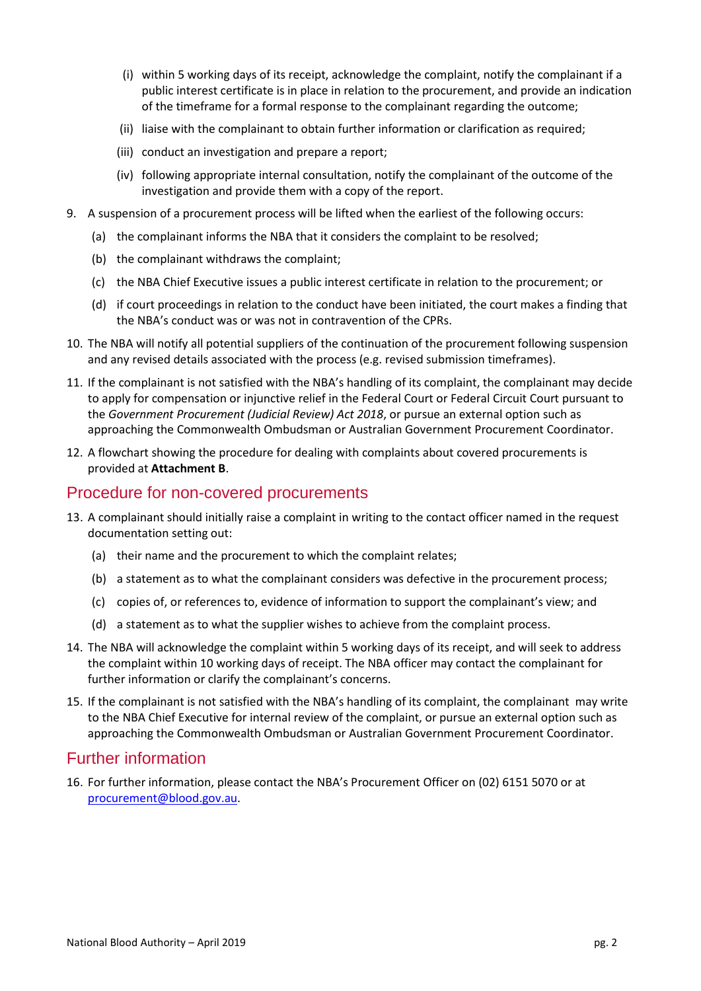- (i) within 5 working days of its receipt, acknowledge the complaint, notify the complainant if a public interest certificate is in place in relation to the procurement, and provide an indication of the timeframe for a formal response to the complainant regarding the outcome;
- (ii) liaise with the complainant to obtain further information or clarification as required;
- (iii) conduct an investigation and prepare a report;
- (iv) following appropriate internal consultation, notify the complainant of the outcome of the investigation and provide them with a copy of the report.
- 9. A suspension of a procurement process will be lifted when the earliest of the following occurs:
	- (a) the complainant informs the NBA that it considers the complaint to be resolved;
	- (b) the complainant withdraws the complaint;
	- (c) the NBA Chief Executive issues a public interest certificate in relation to the procurement; or
	- (d) if court proceedings in relation to the conduct have been initiated, the court makes a finding that the NBA's conduct was or was not in contravention of the CPRs.
- 10. The NBA will notify all potential suppliers of the continuation of the procurement following suspension and any revised details associated with the process (e.g. revised submission timeframes).
- 11. If the complainant is not satisfied with the NBA's handling of its complaint, the complainant may decide to apply for compensation or injunctive relief in the Federal Court or Federal Circuit Court pursuant to the *Government Procurement (Judicial Review) Act 2018*, or pursue an external option such as approaching the Commonwealth Ombudsman or Australian Government Procurement Coordinator.
- 12. A flowchart showing the procedure for dealing with complaints about covered procurements is provided at **Attachment B**.

### Procedure for non-covered procurements

- 13. A complainant should initially raise a complaint in writing to the contact officer named in the request documentation setting out:
	- (a) their name and the procurement to which the complaint relates;
	- (b) a statement as to what the complainant considers was defective in the procurement process;
	- (c) copies of, or references to, evidence of information to support the complainant's view; and
	- (d) a statement as to what the supplier wishes to achieve from the complaint process.
- 14. The NBA will acknowledge the complaint within 5 working days of its receipt, and will seek to address the complaint within 10 working days of receipt. The NBA officer may contact the complainant for further information or clarify the complainant's concerns.
- 15. If the complainant is not satisfied with the NBA's handling of its complaint, the complainant may write to the NBA Chief Executive for internal review of the complaint, or pursue an external option such as approaching the Commonwealth Ombudsman or Australian Government Procurement Coordinator.

### Further information

16. For further information, please contact the NBA's Procurement Officer on (02) 6151 5070 or at [procurement@blood.gov.au.](mailto:procurement@blood.gov.au)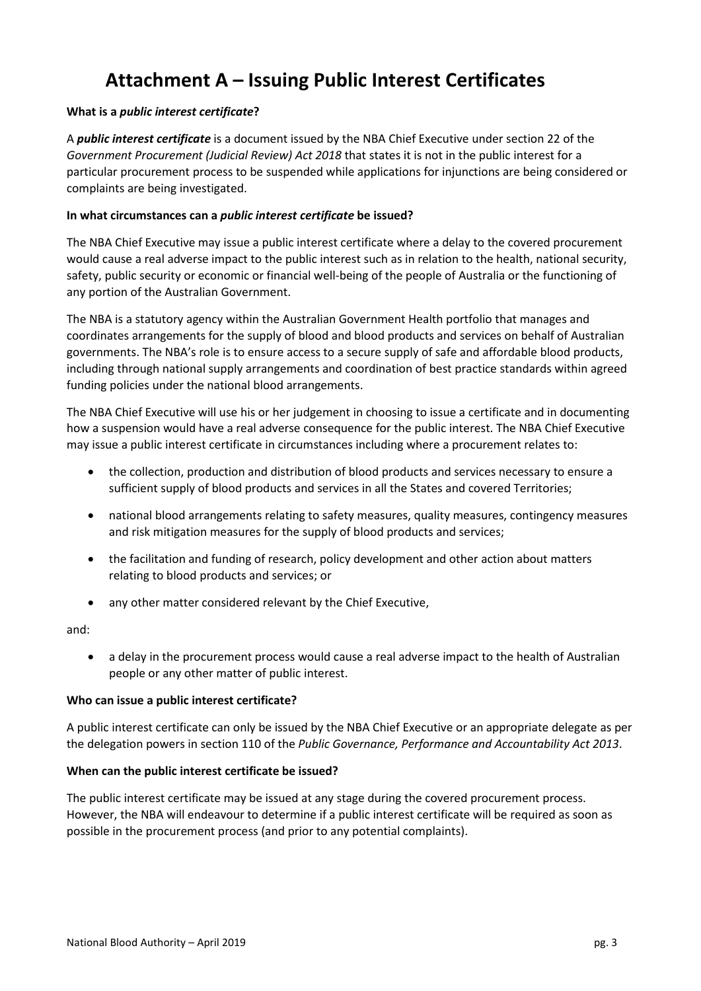# **Attachment A – Issuing Public Interest Certificates**

#### **What is a** *public interest certificate***?**

A *public interest certificate* is a document issued by the NBA Chief Executive under section 22 of the *Government Procurement (Judicial Review) Act 2018* that states it is not in the public interest for a particular procurement process to be suspended while applications for injunctions are being considered or complaints are being investigated.

#### **In what circumstances can a** *public interest certificate* **be issued?**

The NBA Chief Executive may issue a public interest certificate where a delay to the covered procurement would cause a real adverse impact to the public interest such as in relation to the health, national security, safety, public security or economic or financial well-being of the people of Australia or the functioning of any portion of the Australian Government.

The NBA is a statutory agency within the Australian Government Health portfolio that manages and coordinates arrangements for the supply of blood and blood products and services on behalf of Australian governments. The NBA's role is to ensure access to a secure supply of safe and affordable blood products, including through national supply arrangements and coordination of best practice standards within agreed funding policies under the national blood arrangements.

The NBA Chief Executive will use his or her judgement in choosing to issue a certificate and in documenting how a suspension would have a real adverse consequence for the public interest. The NBA Chief Executive may issue a public interest certificate in circumstances including where a procurement relates to:

- the collection, production and distribution of blood products and services necessary to ensure a sufficient supply of blood products and services in all the States and covered Territories;
- national blood arrangements relating to safety measures, quality measures, contingency measures and risk mitigation measures for the supply of blood products and services;
- the facilitation and funding of research, policy development and other action about matters relating to blood products and services; or
- any other matter considered relevant by the Chief Executive,

and:

• a delay in the procurement process would cause a real adverse impact to the health of Australian people or any other matter of public interest.

#### **Who can issue a public interest certificate?**

A public interest certificate can only be issued by the NBA Chief Executive or an appropriate delegate as per the delegation powers in section 110 of the *Public Governance, Performance and Accountability Act 2013*.

#### **When can the public interest certificate be issued?**

The public interest certificate may be issued at any stage during the covered procurement process. However, the NBA will endeavour to determine if a public interest certificate will be required as soon as possible in the procurement process (and prior to any potential complaints).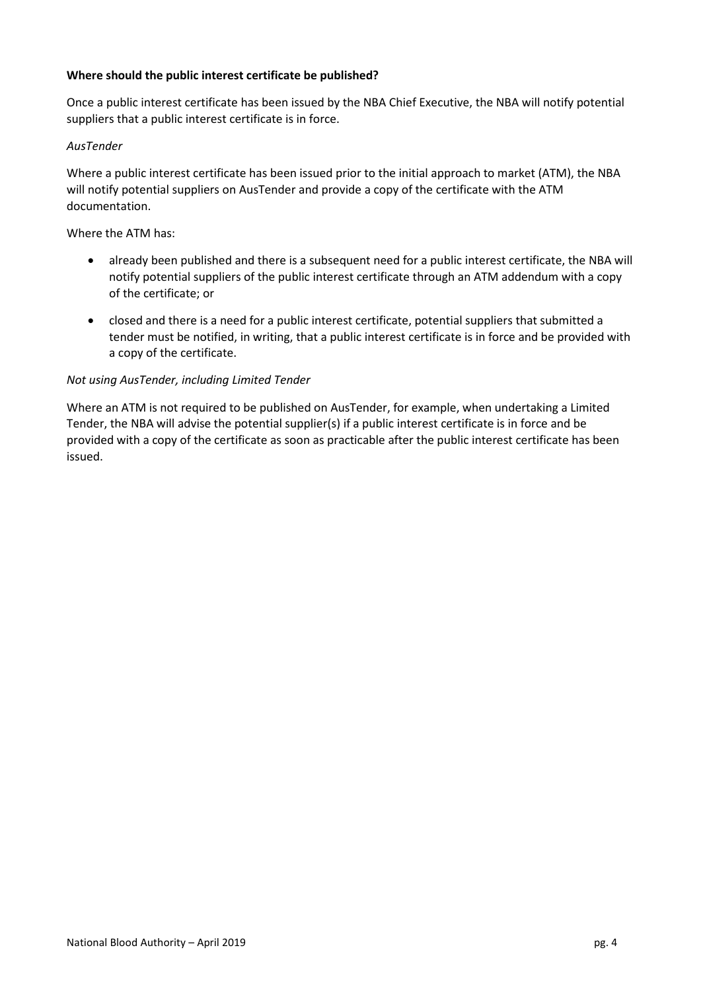#### **Where should the public interest certificate be published?**

Once a public interest certificate has been issued by the NBA Chief Executive, the NBA will notify potential suppliers that a public interest certificate is in force.

#### *AusTender*

Where a public interest certificate has been issued prior to the initial approach to market (ATM), the NBA will notify potential suppliers on AusTender and provide a copy of the certificate with the ATM documentation.

#### Where the ATM has:

- already been published and there is a subsequent need for a public interest certificate, the NBA will notify potential suppliers of the public interest certificate through an ATM addendum with a copy of the certificate; or
- closed and there is a need for a public interest certificate, potential suppliers that submitted a tender must be notified, in writing, that a public interest certificate is in force and be provided with a copy of the certificate.

#### *Not using AusTender, including Limited Tender*

Where an ATM is not required to be published on AusTender, for example, when undertaking a Limited Tender, the NBA will advise the potential supplier(s) if a public interest certificate is in force and be provided with a copy of the certificate as soon as practicable after the public interest certificate has been issued.